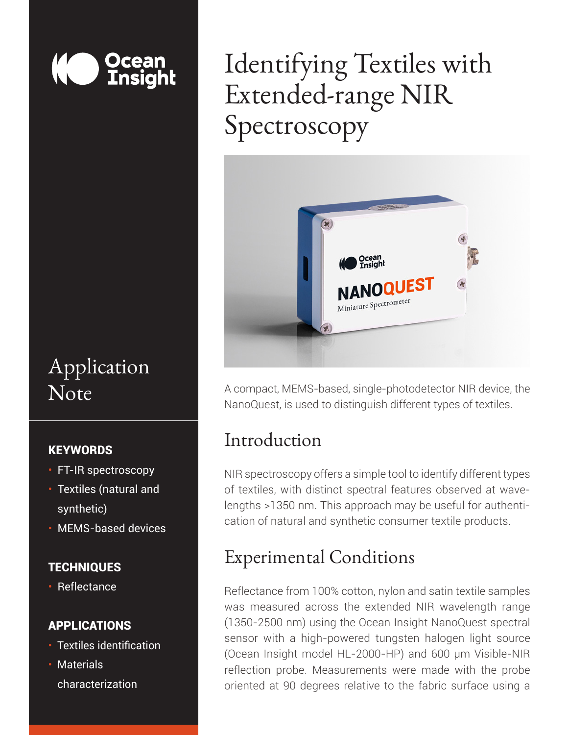

## Application Note

### **KEYWORDS**

- FT-IR spectroscopy
- Textiles (natural and synthetic)
- MEMS-based devices

### **TECHNIQUES**

• Reflectance

### APPLICATIONS

- Textiles identification
- Materials characterization

# Identifying Textiles with Extended-range NIR Spectroscopy



A compact, MEMS-based, single-photodetector NIR device, the NanoQuest, is used to distinguish different types of textiles.

### Introduction

NIR spectroscopy offers a simple tool to identify different types of textiles, with distinct spectral features observed at wavelengths >1350 nm. This approach may be useful for authentication of natural and synthetic consumer textile products.

## Experimental Conditions

Reflectance from 100% cotton, nylon and satin textile samples was measured across the extended NIR wavelength range (1350-2500 nm) using the Ocean Insight NanoQuest spectral sensor with a high-powered tungsten halogen light source (Ocean Insight model HL-2000-HP) and 600 µm Visible-NIR reflection probe. Measurements were made with the probe oriented at 90 degrees relative to the fabric surface using a